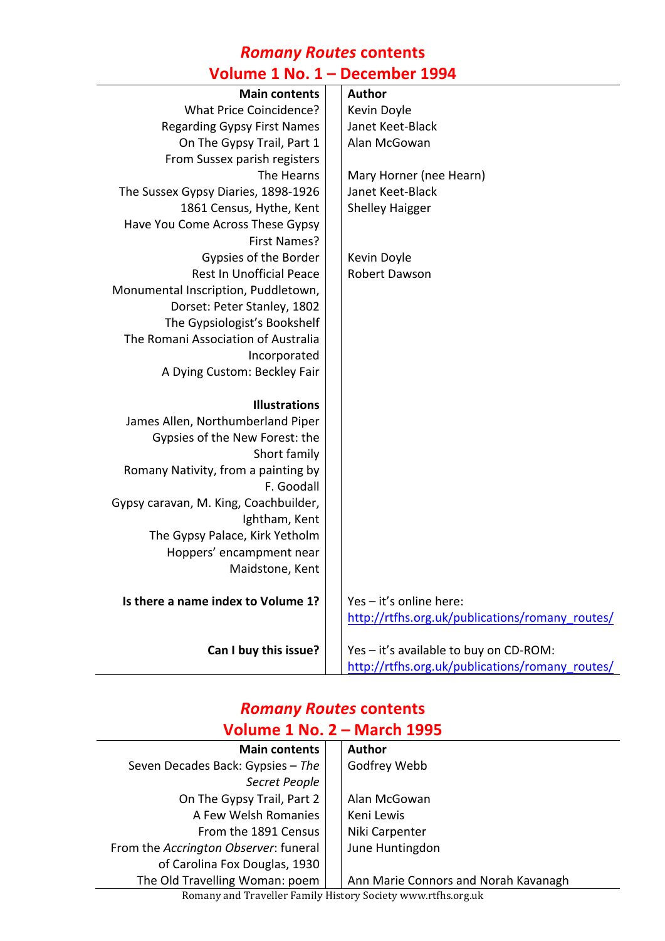#### *Romany Routes* **contents Volume 1 No. 1 – December 1994**

| Author                                          |
|-------------------------------------------------|
|                                                 |
| Kevin Doyle                                     |
| Janet Keet-Black                                |
| Alan McGowan                                    |
|                                                 |
| Mary Horner (nee Hearn)                         |
| Janet Keet-Black                                |
| <b>Shelley Haigger</b>                          |
|                                                 |
|                                                 |
| Kevin Doyle                                     |
| Robert Dawson                                   |
|                                                 |
|                                                 |
|                                                 |
|                                                 |
|                                                 |
|                                                 |
|                                                 |
|                                                 |
|                                                 |
|                                                 |
|                                                 |
|                                                 |
|                                                 |
|                                                 |
|                                                 |
|                                                 |
|                                                 |
|                                                 |
| Yes - it's online here:                         |
| http://rtfhs.org.uk/publications/romany_routes/ |
|                                                 |
| Yes - it's available to buy on CD-ROM:          |
| http://rtfhs.org.uk/publications/romany_routes/ |
|                                                 |

### *Romany Routes* **contents Volume 1 No. 2 – March 1995**

| <b>Main contents</b>                  |  | <b>Author</b>                        |  |
|---------------------------------------|--|--------------------------------------|--|
| Seven Decades Back: Gypsies - The     |  | Godfrey Webb                         |  |
| Secret People                         |  |                                      |  |
| On The Gypsy Trail, Part 2            |  | Alan McGowan                         |  |
| A Few Welsh Romanies                  |  | Keni Lewis                           |  |
| From the 1891 Census                  |  | Niki Carpenter                       |  |
| From the Accrington Observer: funeral |  | June Huntingdon                      |  |
| of Carolina Fox Douglas, 1930         |  |                                      |  |
| The Old Travelling Woman: poem        |  | Ann Marie Connors and Norah Kavanagh |  |

Romany and Traveller Family History Society www.rtfhs.org.uk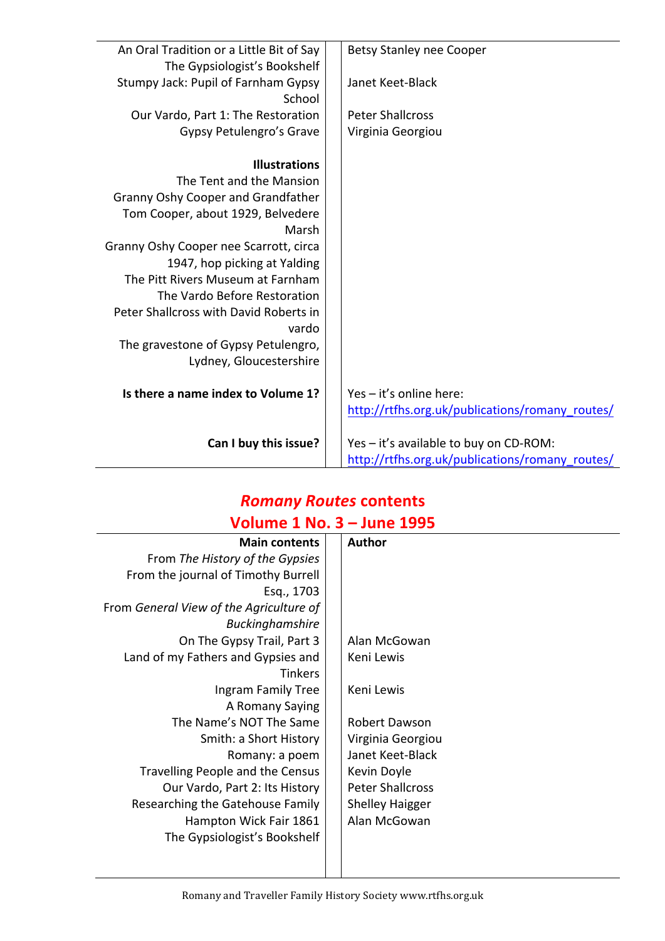| An Oral Tradition or a Little Bit of Say | <b>Betsy Stanley nee Cooper</b>                 |
|------------------------------------------|-------------------------------------------------|
| The Gypsiologist's Bookshelf             |                                                 |
| Stumpy Jack: Pupil of Farnham Gypsy      | Janet Keet-Black                                |
| School                                   |                                                 |
| Our Vardo, Part 1: The Restoration       | <b>Peter Shallcross</b>                         |
|                                          |                                                 |
| Gypsy Petulengro's Grave                 | Virginia Georgiou                               |
| <b>Illustrations</b>                     |                                                 |
| The Tent and the Mansion                 |                                                 |
|                                          |                                                 |
| Granny Oshy Cooper and Grandfather       |                                                 |
| Tom Cooper, about 1929, Belvedere        |                                                 |
| Marsh                                    |                                                 |
| Granny Oshy Cooper nee Scarrott, circa   |                                                 |
| 1947, hop picking at Yalding             |                                                 |
| The Pitt Rivers Museum at Farnham        |                                                 |
| The Vardo Before Restoration             |                                                 |
| Peter Shallcross with David Roberts in   |                                                 |
| vardo                                    |                                                 |
| The gravestone of Gypsy Petulengro,      |                                                 |
| Lydney, Gloucestershire                  |                                                 |
|                                          |                                                 |
| Is there a name index to Volume 1?       | Yes - it's online here:                         |
|                                          | http://rtfhs.org.uk/publications/romany_routes/ |
|                                          |                                                 |
| Can I buy this issue?                    | Yes - it's available to buy on CD-ROM:          |
|                                          | http://rtfhs.org.uk/publications/romany_routes/ |

### *Romany Routes* **contents Volume 1 No. 3 – June 1995**

| <b>Main contents</b>                    | <b>Author</b>           |
|-----------------------------------------|-------------------------|
| From The History of the Gypsies         |                         |
| From the journal of Timothy Burrell     |                         |
| Esq., 1703                              |                         |
| From General View of the Agriculture of |                         |
| <b>Buckinghamshire</b>                  |                         |
| On The Gypsy Trail, Part 3              | Alan McGowan            |
| Land of my Fathers and Gypsies and      | Keni Lewis              |
| <b>Tinkers</b>                          |                         |
| Ingram Family Tree                      | Keni Lewis              |
| A Romany Saying                         |                         |
| The Name's NOT The Same                 | Robert Dawson           |
| Smith: a Short History                  | Virginia Georgiou       |
| Romany: a poem                          | Janet Keet-Black        |
| Travelling People and the Census        | Kevin Doyle             |
| Our Vardo, Part 2: Its History          | <b>Peter Shallcross</b> |
| Researching the Gatehouse Family        | <b>Shelley Haigger</b>  |
| Hampton Wick Fair 1861                  | Alan McGowan            |
| The Gypsiologist's Bookshelf            |                         |
|                                         |                         |
|                                         |                         |